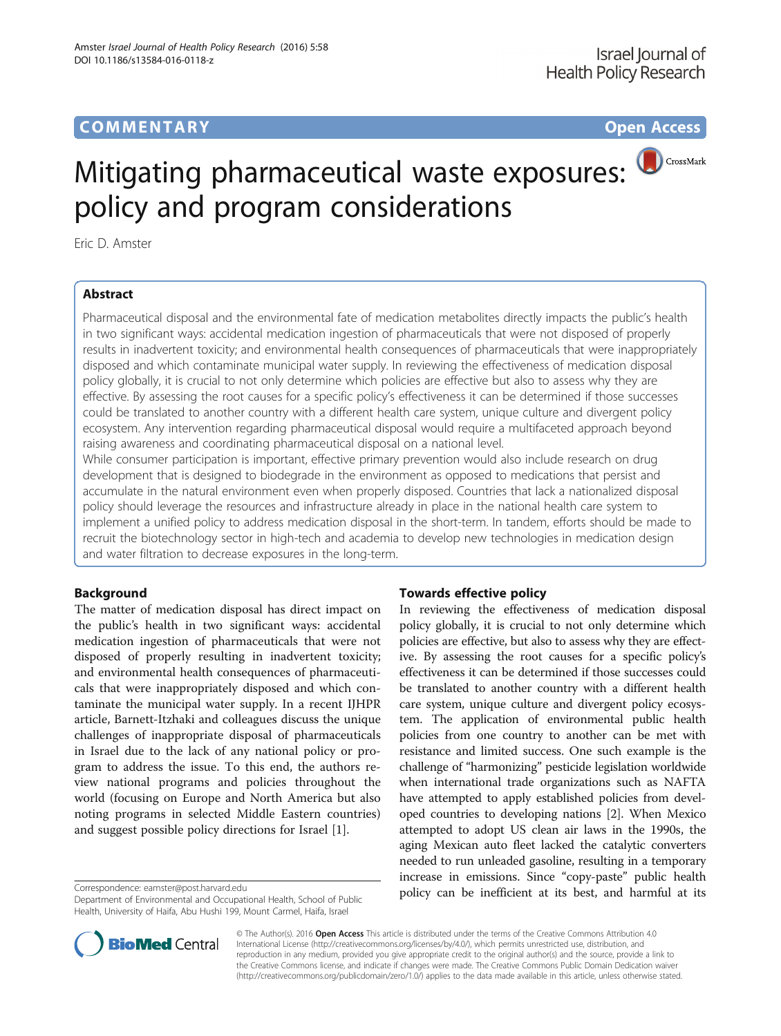## **COMMENTARY COMMENTARY Open Access**

# Mitigating pharmaceutical waste exposures: policy and program considerations

Eric D. Amster

## Abstract

Pharmaceutical disposal and the environmental fate of medication metabolites directly impacts the public's health in two significant ways: accidental medication ingestion of pharmaceuticals that were not disposed of properly results in inadvertent toxicity; and environmental health consequences of pharmaceuticals that were inappropriately disposed and which contaminate municipal water supply. In reviewing the effectiveness of medication disposal policy globally, it is crucial to not only determine which policies are effective but also to assess why they are effective. By assessing the root causes for a specific policy's effectiveness it can be determined if those successes could be translated to another country with a different health care system, unique culture and divergent policy ecosystem. Any intervention regarding pharmaceutical disposal would require a multifaceted approach beyond raising awareness and coordinating pharmaceutical disposal on a national level.

While consumer participation is important, effective primary prevention would also include research on drug development that is designed to biodegrade in the environment as opposed to medications that persist and accumulate in the natural environment even when properly disposed. Countries that lack a nationalized disposal policy should leverage the resources and infrastructure already in place in the national health care system to implement a unified policy to address medication disposal in the short-term. In tandem, efforts should be made to recruit the biotechnology sector in high-tech and academia to develop new technologies in medication design and water filtration to decrease exposures in the long-term.

## Background

The matter of medication disposal has direct impact on the public's health in two significant ways: accidental medication ingestion of pharmaceuticals that were not disposed of properly resulting in inadvertent toxicity; and environmental health consequences of pharmaceuticals that were inappropriately disposed and which contaminate the municipal water supply. In a recent IJHPR article, Barnett-Itzhaki and colleagues discuss the unique challenges of inappropriate disposal of pharmaceuticals in Israel due to the lack of any national policy or program to address the issue. To this end, the authors review national programs and policies throughout the world (focusing on Europe and North America but also noting programs in selected Middle Eastern countries) and suggest possible policy directions for Israel [\[1](#page-3-0)].

Department of Environmental and Occupational Health, School of Public Health, University of Haifa, Abu Hushi 199, Mount Carmel, Haifa, Israel

## Towards effective policy

In reviewing the effectiveness of medication disposal policy globally, it is crucial to not only determine which policies are effective, but also to assess why they are effective. By assessing the root causes for a specific policy's effectiveness it can be determined if those successes could be translated to another country with a different health care system, unique culture and divergent policy ecosystem. The application of environmental public health policies from one country to another can be met with resistance and limited success. One such example is the challenge of "harmonizing" pesticide legislation worldwide when international trade organizations such as NAFTA have attempted to apply established policies from developed countries to developing nations [[2\]](#page-3-0). When Mexico attempted to adopt US clean air laws in the 1990s, the aging Mexican auto fleet lacked the catalytic converters needed to run unleaded gasoline, resulting in a temporary increase in emissions. Since "copy-paste" public health policy can be inefficient at its best, and harmful at its Correspondence: [eamster@post.harvard.edu](mailto:eamster@post.harvard.edu)



© The Author(s). 2016 Open Access This article is distributed under the terms of the Creative Commons Attribution 4.0 International License [\(http://creativecommons.org/licenses/by/4.0/](http://creativecommons.org/licenses/by/4.0/)), which permits unrestricted use, distribution, and reproduction in any medium, provided you give appropriate credit to the original author(s) and the source, provide a link to the Creative Commons license, and indicate if changes were made. The Creative Commons Public Domain Dedication waiver [\(http://creativecommons.org/publicdomain/zero/1.0/](http://creativecommons.org/publicdomain/zero/1.0/)) applies to the data made available in this article, unless otherwise stated.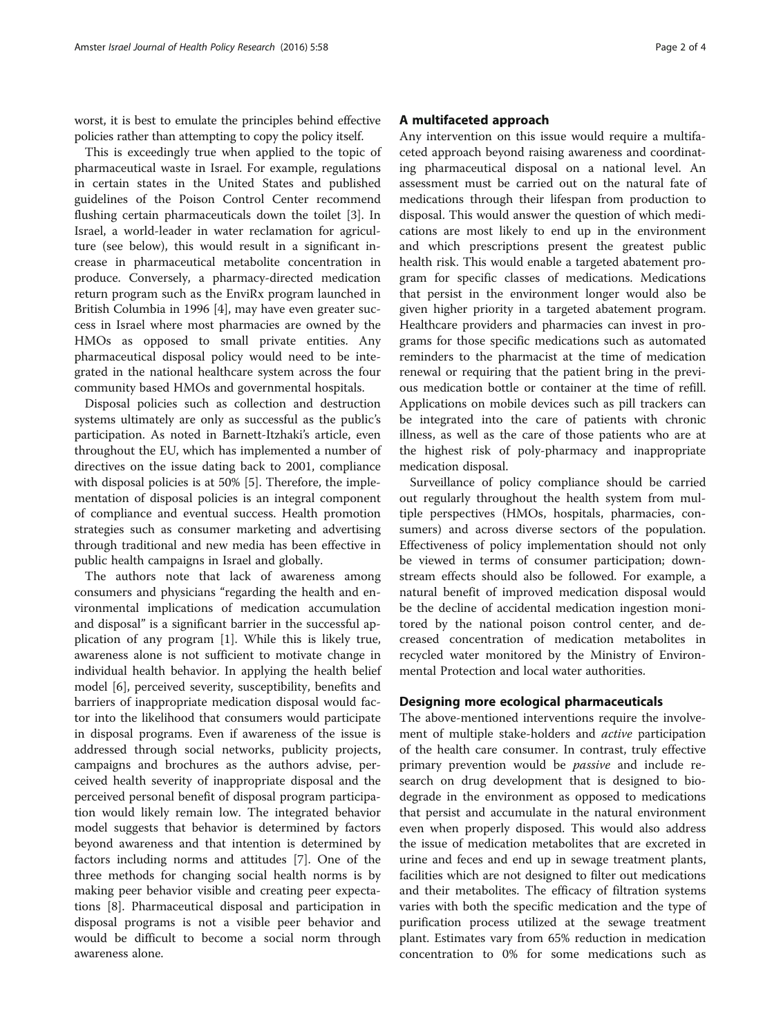worst, it is best to emulate the principles behind effective policies rather than attempting to copy the policy itself.

This is exceedingly true when applied to the topic of pharmaceutical waste in Israel. For example, regulations in certain states in the United States and published guidelines of the Poison Control Center recommend flushing certain pharmaceuticals down the toilet [[3](#page-3-0)]. In Israel, a world-leader in water reclamation for agriculture (see below), this would result in a significant increase in pharmaceutical metabolite concentration in produce. Conversely, a pharmacy-directed medication return program such as the EnviRx program launched in British Columbia in 1996 [[4\]](#page-3-0), may have even greater success in Israel where most pharmacies are owned by the HMOs as opposed to small private entities. Any pharmaceutical disposal policy would need to be integrated in the national healthcare system across the four community based HMOs and governmental hospitals.

Disposal policies such as collection and destruction systems ultimately are only as successful as the public's participation. As noted in Barnett-Itzhaki's article, even throughout the EU, which has implemented a number of directives on the issue dating back to 2001, compliance with disposal policies is at 50% [[5](#page-3-0)]. Therefore, the implementation of disposal policies is an integral component of compliance and eventual success. Health promotion strategies such as consumer marketing and advertising through traditional and new media has been effective in public health campaigns in Israel and globally.

The authors note that lack of awareness among consumers and physicians "regarding the health and environmental implications of medication accumulation and disposal" is a significant barrier in the successful application of any program [\[1\]](#page-3-0). While this is likely true, awareness alone is not sufficient to motivate change in individual health behavior. In applying the health belief model [[6\]](#page-3-0), perceived severity, susceptibility, benefits and barriers of inappropriate medication disposal would factor into the likelihood that consumers would participate in disposal programs. Even if awareness of the issue is addressed through social networks, publicity projects, campaigns and brochures as the authors advise, perceived health severity of inappropriate disposal and the perceived personal benefit of disposal program participation would likely remain low. The integrated behavior model suggests that behavior is determined by factors beyond awareness and that intention is determined by factors including norms and attitudes [[7\]](#page-3-0). One of the three methods for changing social health norms is by making peer behavior visible and creating peer expectations [[8\]](#page-3-0). Pharmaceutical disposal and participation in disposal programs is not a visible peer behavior and would be difficult to become a social norm through awareness alone.

## A multifaceted approach

Any intervention on this issue would require a multifaceted approach beyond raising awareness and coordinating pharmaceutical disposal on a national level. An assessment must be carried out on the natural fate of medications through their lifespan from production to disposal. This would answer the question of which medications are most likely to end up in the environment and which prescriptions present the greatest public health risk. This would enable a targeted abatement program for specific classes of medications. Medications that persist in the environment longer would also be given higher priority in a targeted abatement program. Healthcare providers and pharmacies can invest in programs for those specific medications such as automated reminders to the pharmacist at the time of medication renewal or requiring that the patient bring in the previous medication bottle or container at the time of refill. Applications on mobile devices such as pill trackers can be integrated into the care of patients with chronic illness, as well as the care of those patients who are at the highest risk of poly-pharmacy and inappropriate medication disposal.

Surveillance of policy compliance should be carried out regularly throughout the health system from multiple perspectives (HMOs, hospitals, pharmacies, consumers) and across diverse sectors of the population. Effectiveness of policy implementation should not only be viewed in terms of consumer participation; downstream effects should also be followed. For example, a natural benefit of improved medication disposal would be the decline of accidental medication ingestion monitored by the national poison control center, and decreased concentration of medication metabolites in recycled water monitored by the Ministry of Environmental Protection and local water authorities.

## Designing more ecological pharmaceuticals

The above-mentioned interventions require the involvement of multiple stake-holders and active participation of the health care consumer. In contrast, truly effective primary prevention would be passive and include research on drug development that is designed to biodegrade in the environment as opposed to medications that persist and accumulate in the natural environment even when properly disposed. This would also address the issue of medication metabolites that are excreted in urine and feces and end up in sewage treatment plants, facilities which are not designed to filter out medications and their metabolites. The efficacy of filtration systems varies with both the specific medication and the type of purification process utilized at the sewage treatment plant. Estimates vary from 65% reduction in medication concentration to 0% for some medications such as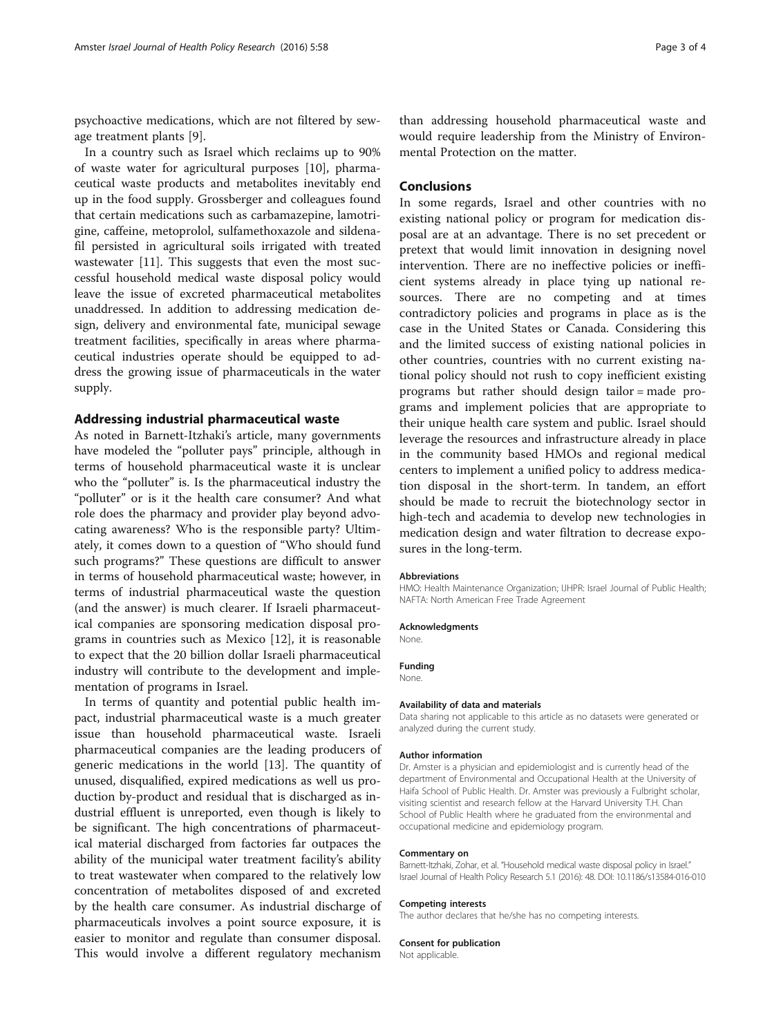psychoactive medications, which are not filtered by sewage treatment plants [[9\]](#page-3-0).

In a country such as Israel which reclaims up to 90% of waste water for agricultural purposes [[10\]](#page-3-0), pharmaceutical waste products and metabolites inevitably end up in the food supply. Grossberger and colleagues found that certain medications such as carbamazepine, lamotrigine, caffeine, metoprolol, sulfamethoxazole and sildenafil persisted in agricultural soils irrigated with treated wastewater [\[11](#page-3-0)]. This suggests that even the most successful household medical waste disposal policy would leave the issue of excreted pharmaceutical metabolites unaddressed. In addition to addressing medication design, delivery and environmental fate, municipal sewage treatment facilities, specifically in areas where pharmaceutical industries operate should be equipped to address the growing issue of pharmaceuticals in the water supply.

### Addressing industrial pharmaceutical waste

As noted in Barnett-Itzhaki's article, many governments have modeled the "polluter pays" principle, although in terms of household pharmaceutical waste it is unclear who the "polluter" is. Is the pharmaceutical industry the "polluter" or is it the health care consumer? And what role does the pharmacy and provider play beyond advocating awareness? Who is the responsible party? Ultimately, it comes down to a question of "Who should fund such programs?" These questions are difficult to answer in terms of household pharmaceutical waste; however, in terms of industrial pharmaceutical waste the question (and the answer) is much clearer. If Israeli pharmaceutical companies are sponsoring medication disposal programs in countries such as Mexico [\[12](#page-3-0)], it is reasonable to expect that the 20 billion dollar Israeli pharmaceutical industry will contribute to the development and implementation of programs in Israel.

In terms of quantity and potential public health impact, industrial pharmaceutical waste is a much greater issue than household pharmaceutical waste. Israeli pharmaceutical companies are the leading producers of generic medications in the world [[13](#page-3-0)]. The quantity of unused, disqualified, expired medications as well us production by-product and residual that is discharged as industrial effluent is unreported, even though is likely to be significant. The high concentrations of pharmaceutical material discharged from factories far outpaces the ability of the municipal water treatment facility's ability to treat wastewater when compared to the relatively low concentration of metabolites disposed of and excreted by the health care consumer. As industrial discharge of pharmaceuticals involves a point source exposure, it is easier to monitor and regulate than consumer disposal. This would involve a different regulatory mechanism

than addressing household pharmaceutical waste and would require leadership from the Ministry of Environmental Protection on the matter.

## Conclusions

In some regards, Israel and other countries with no existing national policy or program for medication disposal are at an advantage. There is no set precedent or pretext that would limit innovation in designing novel intervention. There are no ineffective policies or inefficient systems already in place tying up national resources. There are no competing and at times contradictory policies and programs in place as is the case in the United States or Canada. Considering this and the limited success of existing national policies in other countries, countries with no current existing national policy should not rush to copy inefficient existing programs but rather should design tailor = made programs and implement policies that are appropriate to their unique health care system and public. Israel should leverage the resources and infrastructure already in place in the community based HMOs and regional medical centers to implement a unified policy to address medication disposal in the short-term. In tandem, an effort should be made to recruit the biotechnology sector in high-tech and academia to develop new technologies in medication design and water filtration to decrease exposures in the long-term.

#### Abbreviations

HMO: Health Maintenance Organization; IJHPR: Israel Journal of Public Health; NAFTA: North American Free Trade Agreement

#### Acknowledgments

None.

#### Funding

None.

#### Availability of data and materials

Data sharing not applicable to this article as no datasets were generated or analyzed during the current study.

#### Author information

Dr. Amster is a physician and epidemiologist and is currently head of the department of Environmental and Occupational Health at the University of Haifa School of Public Health. Dr. Amster was previously a Fulbright scholar, visiting scientist and research fellow at the Harvard University T.H. Chan School of Public Health where he graduated from the environmental and occupational medicine and epidemiology program.

#### Commentary on

Barnett-Itzhaki, Zohar, et al. "Household medical waste disposal policy in Israel." Israel Journal of Health Policy Research 5.1 (2016): 48. DOI: [10.1186/s13584-016-010](http://dx.doi.org/10.1186/s13584-016-0108-1)

#### Competing interests

The author declares that he/she has no competing interests.

#### Consent for publication

Not applicable.